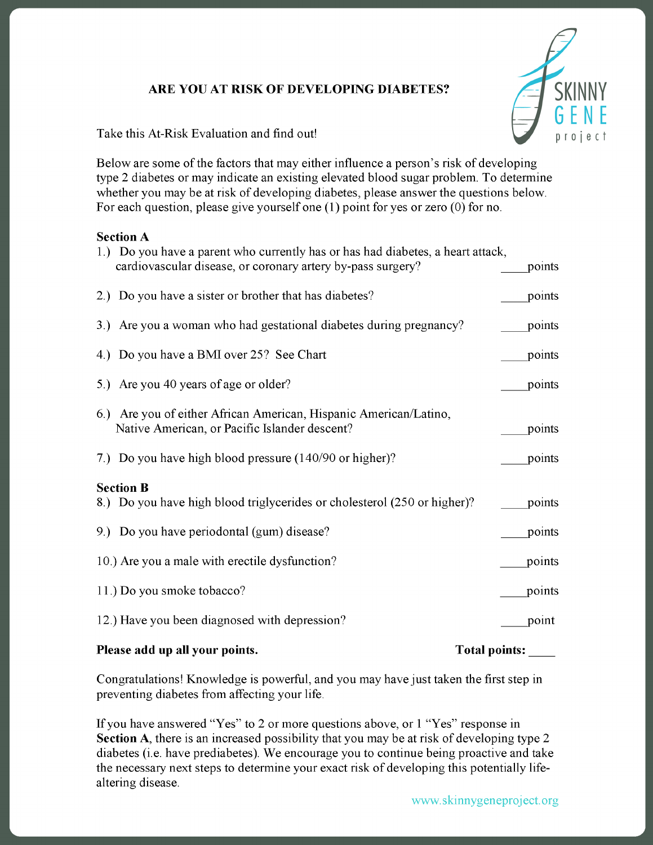## ARE YOU AT RISK OF DEVELOPING DIABETES?



Take this At-Risk Evaluation and find out!

Below are some of the factors that may either influence a person's risk of developing type 2 diabetes or may indicate an existing elevated blood sugar problem. To determine whether you may be at risk of developing diabetes, please answer the questions below. For each question, please give yourself one  $(1)$  point for yes or zero  $(0)$  for no.

## **Section A**

| Please add up all your points.<br><b>Total points:</b>                                                                                         |        |  |  |  |  |
|------------------------------------------------------------------------------------------------------------------------------------------------|--------|--|--|--|--|
| 12.) Have you been diagnosed with depression?                                                                                                  | point  |  |  |  |  |
| 11.) Do you smoke tobacco?                                                                                                                     | points |  |  |  |  |
| 10.) Are you a male with erectile dysfunction?                                                                                                 | points |  |  |  |  |
| 9.) Do you have periodontal (gum) disease?                                                                                                     | points |  |  |  |  |
| <b>Section B</b><br>8.) Do you have high blood triglycerides or cholesterol (250 or higher)?                                                   | points |  |  |  |  |
| 7.) Do you have high blood pressure (140/90 or higher)?                                                                                        | points |  |  |  |  |
| 6.) Are you of either African American, Hispanic American/Latino,<br>Native American, or Pacific Islander descent?                             | points |  |  |  |  |
| 5.) Are you 40 years of age or older?                                                                                                          | points |  |  |  |  |
| 4.) Do you have a BMI over 25? See Chart                                                                                                       | points |  |  |  |  |
| 3.) Are you a woman who had gestational diabetes during pregnancy?                                                                             | points |  |  |  |  |
| 2.) Do you have a sister or brother that has diabetes?                                                                                         | points |  |  |  |  |
| 1.) Do you have a parent who currently has or has had diabetes, a heart attack,<br>cardiovascular disease, or coronary artery by-pass surgery? | points |  |  |  |  |

Congratulations! Knowledge is powerful, and you may have just taken the first step in preventing diabetes from affecting your life.

If you have answered "Yes" to 2 or more questions above, or 1 "Yes" response in Section A, there is an increased possibility that you may be at risk of developing type 2 diabetes (i.e. have prediabetes). We encourage you to continue being proactive and take the necessary next steps to determine your exact risk of developing this potentially lifealtering disease.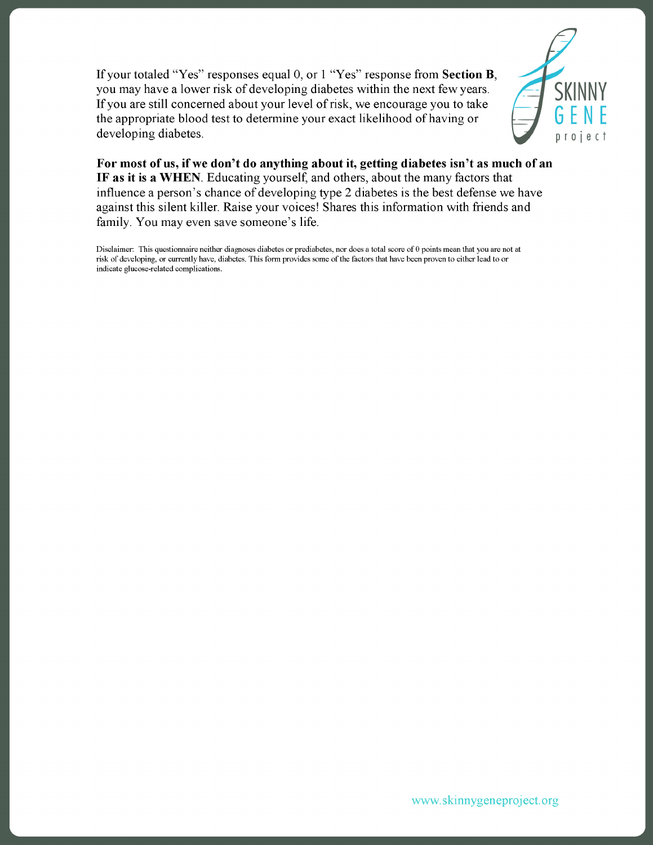If your totaled "Yes" responses equal 0, or 1 "Yes" response from Section B, you may have a lower risk of developing diabetes within the next few years. If you are still concerned about your level of risk, we encourage you to take the appropriate blood test to determine your exact likelihood of having or developing diabetes.



For most of us, if we don't do anything about it, getting diabetes isn't as much of an IF as it is a WHEN. Educating yourself, and others, about the many factors that influence a person's chance of developing type 2 diabetes is the best defense we have against this silent killer. Raise your voices! Shares this information with friends and family. You may even save someone's life.

Disclaimer: This questionnaire neither diagnoses diabetes or prediabetes, nor does a total score of 0 points mean that you are not at risk of developing, or currently have, diabetes. This form provides some of the factors that have been proven to either lead to or indicate glucose-related complications.